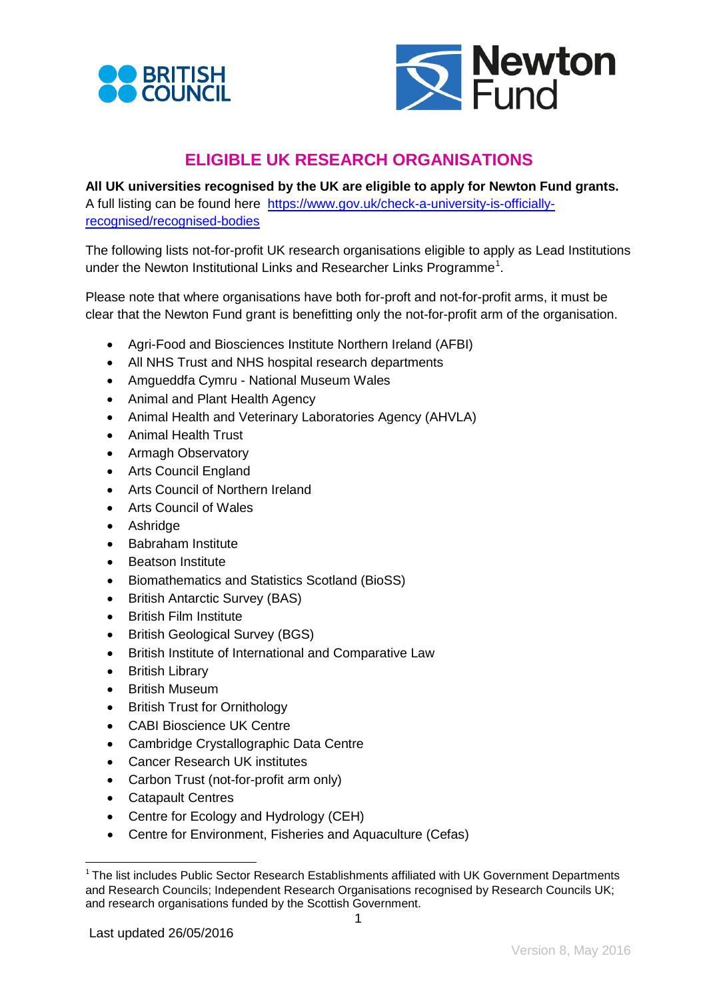



## **ELIGIBLE UK RESEARCH ORGANISATIONS**

**All UK universities recognised by the UK are eligible to apply for Newton Fund grants.**  A full listing can be found here [https://www.gov.uk/check-a-university-is-officially-](https://www.gov.uk/check-a-university-is-officially-recognised/recognised-bodies)

## [recognised/recognised-bodies](https://www.gov.uk/check-a-university-is-officially-recognised/recognised-bodies)

The following lists not-for-profit UK research organisations eligible to apply as Lead Institutions under the Newton Institutional Links and Researcher Links Programme<sup>[1](#page-0-0)</sup>.

Please note that where organisations have both for-proft and not-for-profit arms, it must be clear that the Newton Fund grant is benefitting only the not-for-profit arm of the organisation.

- Agri-Food and Biosciences Institute Northern Ireland (AFBI)
- All NHS Trust and NHS hospital research departments
- Amgueddfa Cymru National Museum Wales
- Animal and Plant Health Agency
- Animal Health and Veterinary Laboratories Agency (AHVLA)
- Animal Health Trust
- Armagh Observatory
- Arts Council England
- Arts Council of Northern Ireland
- Arts Council of Wales
- Ashridge
- Babraham Institute
- Beatson Institute
- Biomathematics and Statistics Scotland (BioSS)
- British Antarctic Survey (BAS)
- British Film Institute
- British Geological Survey (BGS)
- British Institute of International and Comparative Law
- British Library
- British Museum
- **British Trust for Ornithology**
- CABI Bioscience UK Centre
- Cambridge Crystallographic Data Centre
- Cancer Research UK institutes
- Carbon Trust (not-for-profit arm only)
- Catapault Centres
- Centre for Ecology and Hydrology (CEH)
- Centre for Environment, Fisheries and Aquaculture (Cefas)

<span id="page-0-0"></span> $1$  The list includes Public Sector Research Establishments affiliated with UK Government Departments and Research Councils; Independent Research Organisations recognised by Research Councils UK; and research organisations funded by the Scottish Government.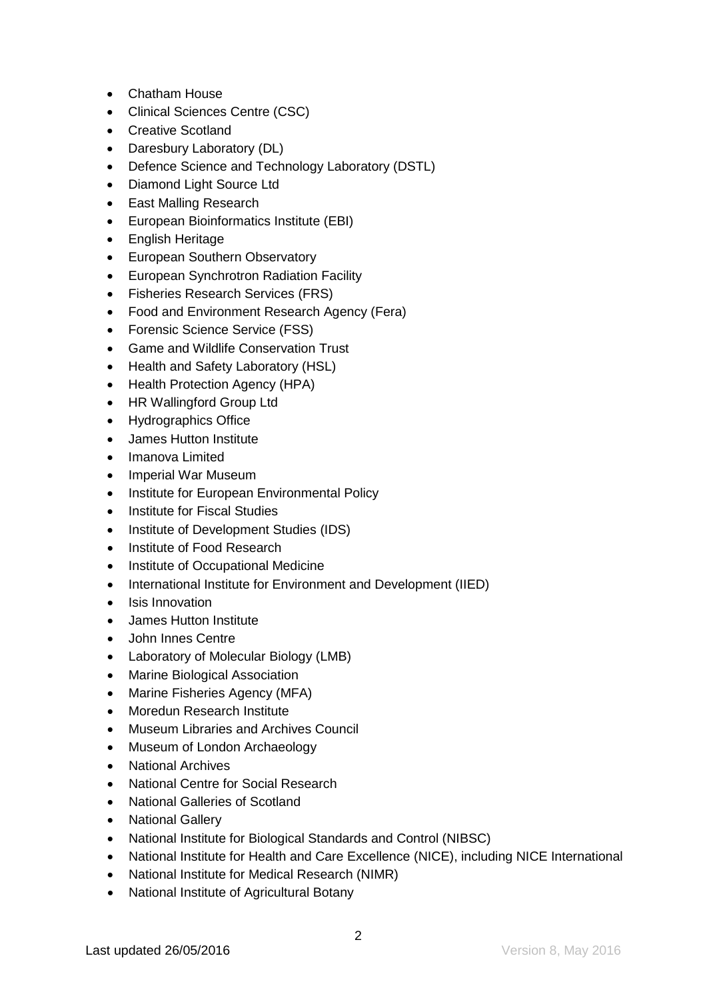- Chatham House
- Clinical Sciences Centre (CSC)
- Creative Scotland
- Daresbury Laboratory (DL)
- Defence Science and Technology Laboratory (DSTL)
- Diamond Light Source Ltd
- East Malling Research
- European Bioinformatics Institute (EBI)
- English Heritage
- European Southern Observatory
- European Synchrotron Radiation Facility
- Fisheries Research Services (FRS)
- Food and Environment Research Agency (Fera)
- Forensic Science Service (FSS)
- Game and Wildlife Conservation Trust
- Health and Safety Laboratory (HSL)
- Health Protection Agency (HPA)
- HR Wallingford Group Ltd
- Hydrographics Office
- James Hutton Institute
- Imanova Limited
- Imperial War Museum
- Institute for European Environmental Policy
- Institute for Fiscal Studies
- Institute of Development Studies (IDS)
- Institute of Food Research
- Institute of Occupational Medicine
- International Institute for Environment and Development (IIED)
- Isis Innovation
- James Hutton Institute
- John Innes Centre
- Laboratory of Molecular Biology (LMB)
- Marine Biological Association
- Marine Fisheries Agency (MFA)
- Moredun Research Institute
- Museum Libraries and Archives Council
- Museum of London Archaeology
- National Archives
- National Centre for Social Research
- National Galleries of Scotland
- National Gallery
- National Institute for Biological Standards and Control (NIBSC)
- National Institute for Health and Care Excellence (NICE), including NICE International
- National Institute for Medical Research (NIMR)
- National Institute of Agricultural Botany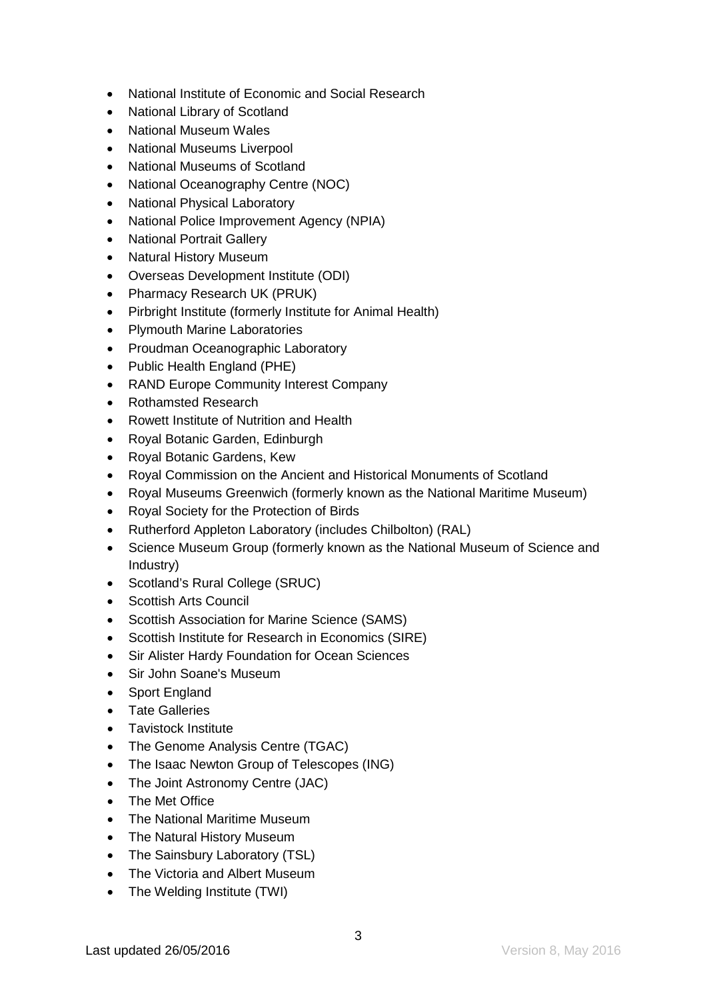- National Institute of Economic and Social Research
- National Library of Scotland
- National Museum Wales
- National Museums Liverpool
- National Museums of Scotland
- National Oceanography Centre (NOC)
- National Physical Laboratory
- National Police Improvement Agency (NPIA)
- National Portrait Gallery
- Natural History Museum
- Overseas Development Institute (ODI)
- Pharmacy Research UK (PRUK)
- Pirbright Institute (formerly Institute for Animal Health)
- Plymouth Marine Laboratories
- Proudman Oceanographic Laboratory
- Public Health England (PHE)
- RAND Europe Community Interest Company
- Rothamsted Research
- Rowett Institute of Nutrition and Health
- Royal Botanic Garden, Edinburgh
- Royal Botanic Gardens, Kew
- Royal Commission on the Ancient and Historical Monuments of Scotland
- Royal Museums Greenwich (formerly known as the National Maritime Museum)
- Royal Society for the Protection of Birds
- Rutherford Appleton Laboratory (includes Chilbolton) (RAL)
- Science Museum Group (formerly known as the National Museum of Science and Industry)
- Scotland's Rural College (SRUC)
- Scottish Arts Council
- Scottish Association for Marine Science (SAMS)
- Scottish Institute for Research in Economics (SIRE)
- Sir Alister Hardy Foundation for Ocean Sciences
- Sir John Soane's Museum
- Sport England
- Tate Galleries
- Tavistock Institute
- The Genome Analysis Centre (TGAC)
- The Isaac Newton Group of Telescopes (ING)
- The Joint Astronomy Centre (JAC)
- The Met Office
- The National Maritime Museum
- The Natural History Museum
- The Sainsbury Laboratory (TSL)
- The Victoria and Albert Museum
- The Welding Institute (TWI)